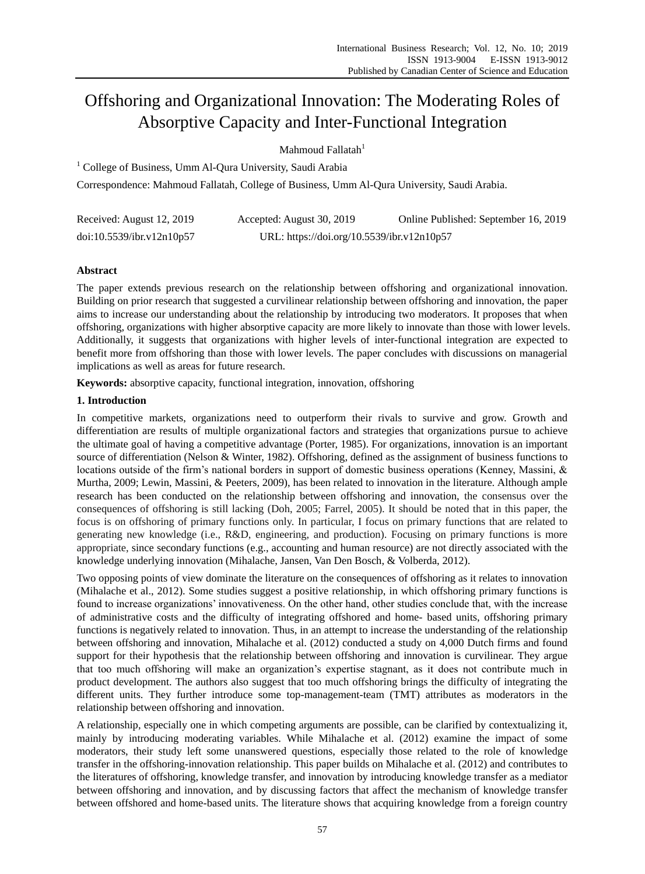# Offshoring and Organizational Innovation: The Moderating Roles of Absorptive Capacity and Inter-Functional Integration

Mahmoud Fallatah $1$ 

<sup>1</sup> College of Business, Umm Al-Qura University, Saudi Arabia

Correspondence: Mahmoud Fallatah, College of Business, Umm Al-Qura University, Saudi Arabia.

| Received: August 12, 2019 | Accepted: August 30, 2019                  | Online Published: September 16, 2019 |
|---------------------------|--------------------------------------------|--------------------------------------|
| doi:10.5539/ibr.v12n10p57 | URL: https://doi.org/10.5539/ibr.v12n10p57 |                                      |

## **Abstract**

The paper extends previous research on the relationship between offshoring and organizational innovation. Building on prior research that suggested a curvilinear relationship between offshoring and innovation, the paper aims to increase our understanding about the relationship by introducing two moderators. It proposes that when offshoring, organizations with higher absorptive capacity are more likely to innovate than those with lower levels. Additionally, it suggests that organizations with higher levels of inter-functional integration are expected to benefit more from offshoring than those with lower levels. The paper concludes with discussions on managerial implications as well as areas for future research.

**Keywords:** absorptive capacity, functional integration, innovation, offshoring

## **1. Introduction**

In competitive markets, organizations need to outperform their rivals to survive and grow. Growth and differentiation are results of multiple organizational factors and strategies that organizations pursue to achieve the ultimate goal of having a competitive advantage (Porter, 1985). For organizations, innovation is an important source of differentiation (Nelson & Winter, 1982). Offshoring, defined as the assignment of business functions to locations outside of the firm's national borders in support of domestic business operations (Kenney, Massini, & Murtha, 2009; Lewin, Massini, & Peeters, 2009), has been related to innovation in the literature. Although ample research has been conducted on the relationship between offshoring and innovation, the consensus over the consequences of offshoring is still lacking (Doh, 2005; Farrel, 2005). It should be noted that in this paper, the focus is on offshoring of primary functions only. In particular, I focus on primary functions that are related to generating new knowledge (i.e., R&D, engineering, and production). Focusing on primary functions is more appropriate, since secondary functions (e.g., accounting and human resource) are not directly associated with the knowledge underlying innovation (Mihalache, Jansen, Van Den Bosch, & Volberda, 2012).

Two opposing points of view dominate the literature on the consequences of offshoring as it relates to innovation (Mihalache et al., 2012). Some studies suggest a positive relationship, in which offshoring primary functions is found to increase organizations' innovativeness. On the other hand, other studies conclude that, with the increase of administrative costs and the difficulty of integrating offshored and home- based units, offshoring primary functions is negatively related to innovation. Thus, in an attempt to increase the understanding of the relationship between offshoring and innovation, Mihalache et al. (2012) conducted a study on 4,000 Dutch firms and found support for their hypothesis that the relationship between offshoring and innovation is curvilinear. They argue that too much offshoring will make an organization's expertise stagnant, as it does not contribute much in product development. The authors also suggest that too much offshoring brings the difficulty of integrating the different units. They further introduce some top-management-team (TMT) attributes as moderators in the relationship between offshoring and innovation.

A relationship, especially one in which competing arguments are possible, can be clarified by contextualizing it, mainly by introducing moderating variables. While Mihalache et al. (2012) examine the impact of some moderators, their study left some unanswered questions, especially those related to the role of knowledge transfer in the offshoring-innovation relationship. This paper builds on Mihalache et al. (2012) and contributes to the literatures of offshoring, knowledge transfer, and innovation by introducing knowledge transfer as a mediator between offshoring and innovation, and by discussing factors that affect the mechanism of knowledge transfer between offshored and home-based units. The literature shows that acquiring knowledge from a foreign country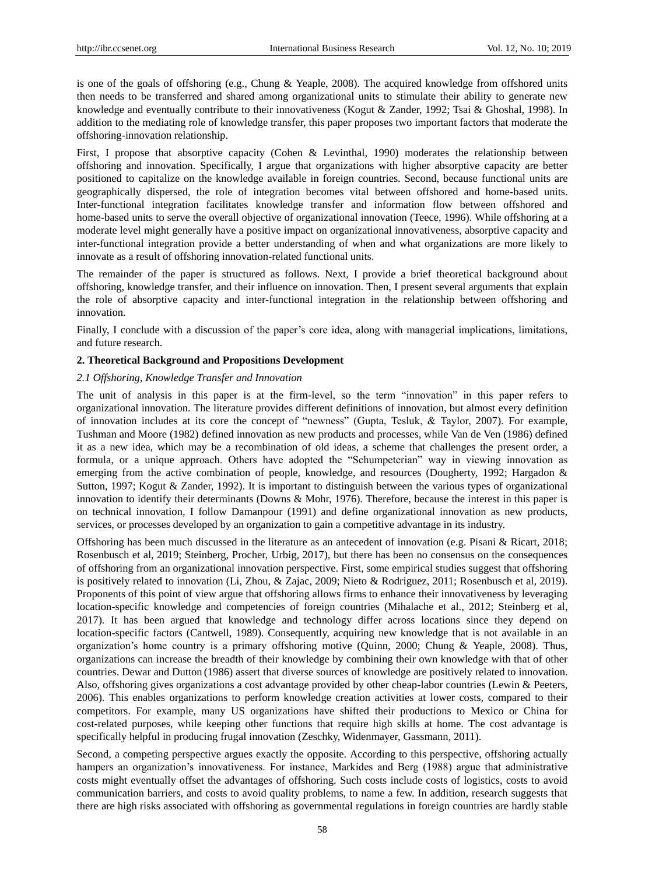is one of the goals of offshoring (e.g., Chung & Yeaple, 2008). The acquired knowledge from offshored units then needs to be transferred and shared among organizational units to stimulate their ability to generate new knowledge and eventually contribute to their innovativeness (Kogut & Zander, 1992; Tsai & Ghoshal, 1998). In addition to the mediating role of knowledge transfer, this paper proposes two important factors that moderate the offshoring-innovation relationship.

First, I propose that absorptive capacity (Cohen & Levinthal, 1990) moderates the relationship between offshoring and innovation. Specifically, I argue that organizations with higher absorptive capacity are better positioned to capitalize on the knowledge available in foreign countries. Second, because functional units are geographically dispersed, the role of integration becomes vital between offshored and home-based units. Inter-functional integration facilitates knowledge transfer and information flow between offshored and home-based units to serve the overall objective of organizational innovation (Teece, 1996). While offshoring at a moderate level might generally have a positive impact on organizational innovativeness, absorptive capacity and inter-functional integration provide a better understanding of when and what organizations are more likely to innovate as a result of offshoring innovation-related functional units.

The remainder of the paper is structured as follows. Next, I provide a brief theoretical background about offshoring, knowledge transfer, and their influence on innovation. Then, I present several arguments that explain the role of absorptive capacity and inter-functional integration in the relationship between offshoring and innovation.

Finally, I conclude with a discussion of the paper's core idea, along with managerial implications, limitations, and future research.

#### **2. Theoretical Background and Propositions Development**

#### *2.1 Offshoring, Knowledge Transfer and Innovation*

The unit of analysis in this paper is at the firm-level, so the term "innovation" in this paper refers to organizational innovation. The literature provides different definitions of innovation, but almost every definition of innovation includes at its core the concept of "newness" (Gupta, Tesluk, & Taylor, 2007). For example, Tushman and Moore (1982) defined innovation as new products and processes, while Van de Ven (1986) defined it as a new idea, which may be a recombination of old ideas, a scheme that challenges the present order, a formula, or a unique approach. Others have adopted the "Schumpeterian" way in viewing innovation as emerging from the active combination of people, knowledge, and resources (Dougherty, 1992; Hargadon & Sutton, 1997; Kogut & Zander, 1992). It is important to distinguish between the various types of organizational innovation to identify their determinants (Downs & Mohr, 1976). Therefore, because the interest in this paper is on technical innovation, I follow Damanpour (1991) and define organizational innovation as new products, services, or processes developed by an organization to gain a competitive advantage in its industry.

Offshoring has been much discussed in the literature as an antecedent of innovation (e.g. Pisani & Ricart, 2018; Rosenbusch et al, 2019; Steinberg, Procher, Urbig, 2017), but there has been no consensus on the consequences of offshoring from an organizational innovation perspective. First, some empirical studies suggest that offshoring is positively related to innovation (Li, Zhou, & Zajac, 2009; Nieto & Rodriguez, 2011; Rosenbusch et al, 2019). Proponents of this point of view argue that offshoring allows firms to enhance their innovativeness by leveraging location-specific knowledge and competencies of foreign countries (Mihalache et al., 2012; Steinberg et al, 2017). It has been argued that knowledge and technology differ across locations since they depend on location-specific factors (Cantwell, 1989). Consequently, acquiring new knowledge that is not available in an organization's home country is a primary offshoring motive (Quinn, 2000; Chung & Yeaple, 2008). Thus, organizations can increase the breadth of their knowledge by combining their own knowledge with that of other countries. Dewar and Dutton (1986) assert that diverse sources of knowledge are positively related to innovation. Also, offshoring gives organizations a cost advantage provided by other cheap-labor countries (Lewin & Peeters, 2006). This enables organizations to perform knowledge creation activities at lower costs, compared to their competitors. For example, many US organizations have shifted their productions to Mexico or China for cost-related purposes, while keeping other functions that require high skills at home. The cost advantage is specifically helpful in producing frugal innovation (Zeschky, Widenmayer, Gassmann, 2011).

Second, a competing perspective argues exactly the opposite. According to this perspective, offshoring actually hampers an organization's innovativeness. For instance, Markides and Berg (1988) argue that administrative costs might eventually offset the advantages of offshoring. Such costs include costs of logistics, costs to avoid communication barriers, and costs to avoid quality problems, to name a few. In addition, research suggests that there are high risks associated with offshoring as governmental regulations in foreign countries are hardly stable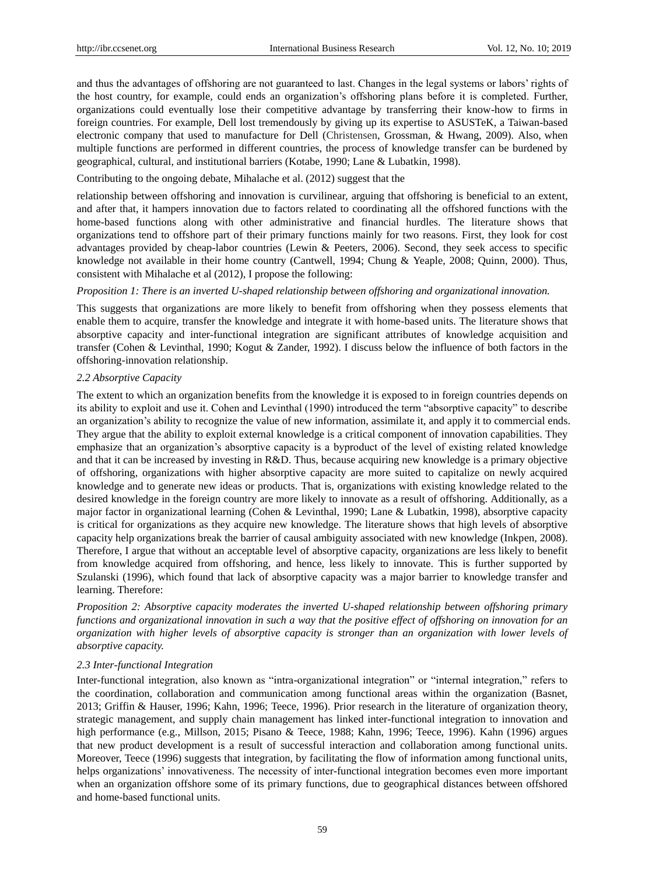and thus the advantages of offshoring are not guaranteed to last. Changes in the legal systems or labors' rights of the host country, for example, could ends an organization's offshoring plans before it is completed. Further, organizations could eventually lose their competitive advantage by transferring their know-how to firms in foreign countries. For example, Dell lost tremendously by giving up its expertise to ASUSTeK, a Taiwan-based electronic company that used to manufacture for Dell (Christensen, Grossman, & Hwang, 2009). Also, when multiple functions are performed in different countries, the process of knowledge transfer can be burdened by geographical, cultural, and institutional barriers (Kotabe, 1990; Lane & Lubatkin, 1998).

#### Contributing to the ongoing debate, Mihalache et al. (2012) suggest that the

relationship between offshoring and innovation is curvilinear, arguing that offshoring is beneficial to an extent, and after that, it hampers innovation due to factors related to coordinating all the offshored functions with the home-based functions along with other administrative and financial hurdles. The literature shows that organizations tend to offshore part of their primary functions mainly for two reasons. First, they look for cost advantages provided by cheap-labor countries (Lewin & Peeters, 2006). Second, they seek access to specific knowledge not available in their home country (Cantwell, 1994; Chung & Yeaple, 2008; Quinn, 2000). Thus, consistent with Mihalache et al (2012), I propose the following:

#### *Proposition 1: There is an inverted U-shaped relationship between offshoring and organizational innovation.*

This suggests that organizations are more likely to benefit from offshoring when they possess elements that enable them to acquire, transfer the knowledge and integrate it with home-based units. The literature shows that absorptive capacity and inter-functional integration are significant attributes of knowledge acquisition and transfer (Cohen & Levinthal, 1990; Kogut & Zander, 1992). I discuss below the influence of both factors in the offshoring-innovation relationship.

### *2.2 Absorptive Capacity*

The extent to which an organization benefits from the knowledge it is exposed to in foreign countries depends on its ability to exploit and use it. Cohen and Levinthal (1990) introduced the term "absorptive capacity" to describe an organization's ability to recognize the value of new information, assimilate it, and apply it to commercial ends. They argue that the ability to exploit external knowledge is a critical component of innovation capabilities. They emphasize that an organization's absorptive capacity is a byproduct of the level of existing related knowledge and that it can be increased by investing in R&D. Thus, because acquiring new knowledge is a primary objective of offshoring, organizations with higher absorptive capacity are more suited to capitalize on newly acquired knowledge and to generate new ideas or products. That is, organizations with existing knowledge related to the desired knowledge in the foreign country are more likely to innovate as a result of offshoring. Additionally, as a major factor in organizational learning (Cohen & Levinthal, 1990; Lane & Lubatkin, 1998), absorptive capacity is critical for organizations as they acquire new knowledge. The literature shows that high levels of absorptive capacity help organizations break the barrier of causal ambiguity associated with new knowledge (Inkpen, 2008). Therefore, I argue that without an acceptable level of absorptive capacity, organizations are less likely to benefit from knowledge acquired from offshoring, and hence, less likely to innovate. This is further supported by Szulanski (1996), which found that lack of absorptive capacity was a major barrier to knowledge transfer and learning. Therefore:

*Proposition 2: Absorptive capacity moderates the inverted U-shaped relationship between offshoring primary functions and organizational innovation in such a way that the positive effect of offshoring on innovation for an organization with higher levels of absorptive capacity is stronger than an organization with lower levels of absorptive capacity.*

#### *2.3 Inter-functional Integration*

Inter-functional integration, also known as "intra-organizational integration" or "internal integration," refers to the coordination, collaboration and communication among functional areas within the organization (Basnet, 2013; Griffin & Hauser, 1996; Kahn, 1996; Teece, 1996). Prior research in the literature of organization theory, strategic management, and supply chain management has linked inter-functional integration to innovation and high performance (e.g., Millson, 2015; Pisano & Teece, 1988; Kahn, 1996; Teece, 1996). Kahn (1996) argues that new product development is a result of successful interaction and collaboration among functional units. Moreover, Teece (1996) suggests that integration, by facilitating the flow of information among functional units, helps organizations' innovativeness. The necessity of inter-functional integration becomes even more important when an organization offshore some of its primary functions, due to geographical distances between offshored and home-based functional units.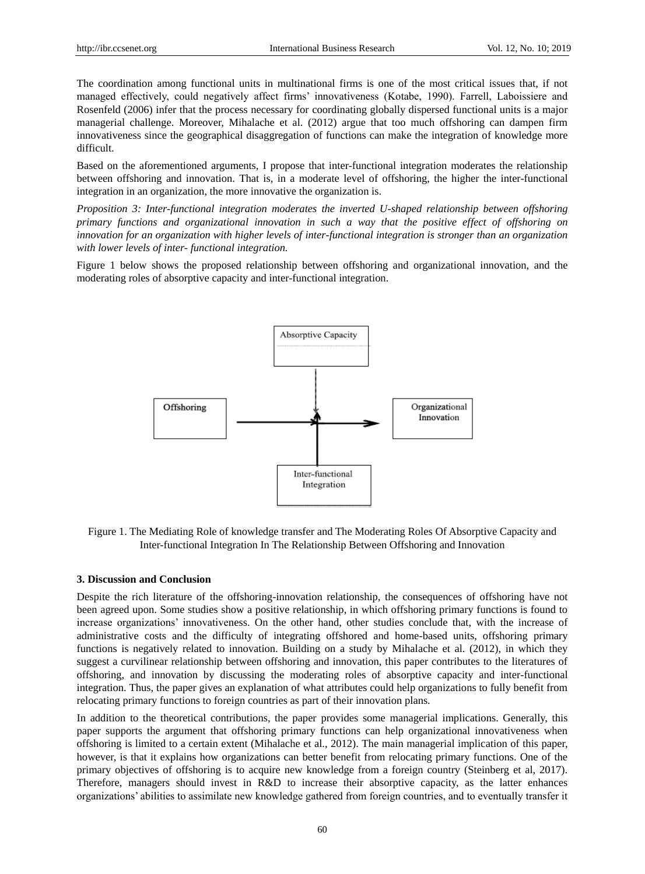The coordination among functional units in multinational firms is one of the most critical issues that, if not managed effectively, could negatively affect firms' innovativeness (Kotabe, 1990). Farrell, Laboissiere and Rosenfeld (2006) infer that the process necessary for coordinating globally dispersed functional units is a major managerial challenge. Moreover, Mihalache et al. (2012) argue that too much offshoring can dampen firm innovativeness since the geographical disaggregation of functions can make the integration of knowledge more difficult.

Based on the aforementioned arguments, I propose that inter-functional integration moderates the relationship between offshoring and innovation. That is, in a moderate level of offshoring, the higher the inter-functional integration in an organization, the more innovative the organization is.

*Proposition 3: Inter-functional integration moderates the inverted U-shaped relationship between offshoring primary functions and organizational innovation in such a way that the positive effect of offshoring on innovation for an organization with higher levels of inter-functional integration is stronger than an organization with lower levels of inter- functional integration.*

Figure 1 below shows the proposed relationship between offshoring and organizational innovation, and the moderating roles of absorptive capacity and inter-functional integration.



Figure 1. The Mediating Role of knowledge transfer and The Moderating Roles Of Absorptive Capacity and Inter-functional Integration In The Relationship Between Offshoring and Innovation

#### **3. Discussion and Conclusion**

Despite the rich literature of the offshoring-innovation relationship, the consequences of offshoring have not been agreed upon. Some studies show a positive relationship, in which offshoring primary functions is found to increase organizations' innovativeness. On the other hand, other studies conclude that, with the increase of administrative costs and the difficulty of integrating offshored and home-based units, offshoring primary functions is negatively related to innovation. Building on a study by Mihalache et al. (2012), in which they suggest a curvilinear relationship between offshoring and innovation, this paper contributes to the literatures of offshoring, and innovation by discussing the moderating roles of absorptive capacity and inter-functional integration. Thus, the paper gives an explanation of what attributes could help organizations to fully benefit from relocating primary functions to foreign countries as part of their innovation plans.

In addition to the theoretical contributions, the paper provides some managerial implications. Generally, this paper supports the argument that offshoring primary functions can help organizational innovativeness when offshoring is limited to a certain extent (Mihalache et al., 2012). The main managerial implication of this paper, however, is that it explains how organizations can better benefit from relocating primary functions. One of the primary objectives of offshoring is to acquire new knowledge from a foreign country (Steinberg et al, 2017). Therefore, managers should invest in R&D to increase their absorptive capacity, as the latter enhances organizations' abilities to assimilate new knowledge gathered from foreign countries, and to eventually transfer it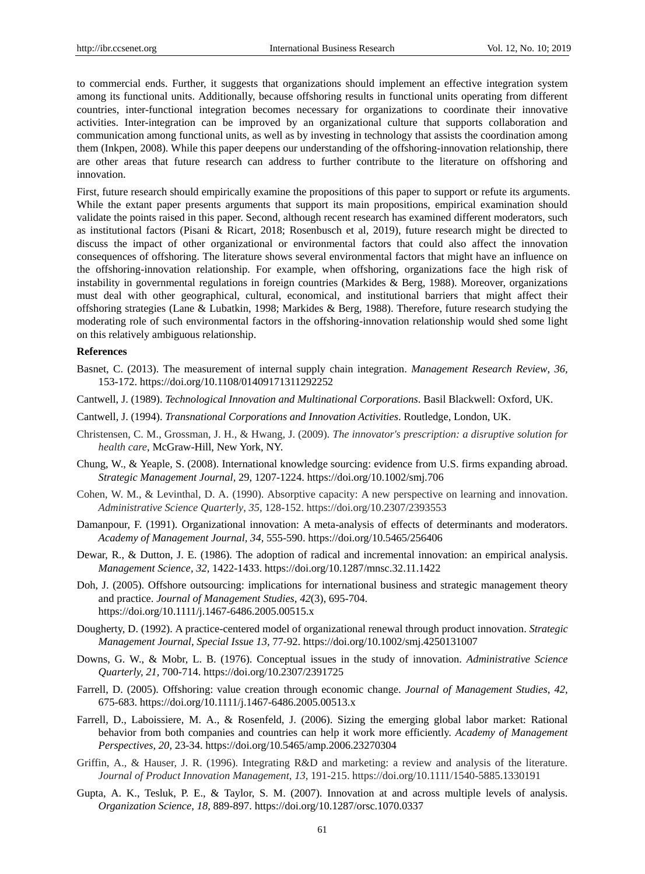to commercial ends. Further, it suggests that organizations should implement an effective integration system among its functional units. Additionally, because offshoring results in functional units operating from different countries, inter-functional integration becomes necessary for organizations to coordinate their innovative activities. Inter-integration can be improved by an organizational culture that supports collaboration and communication among functional units, as well as by investing in technology that assists the coordination among them (Inkpen, 2008). While this paper deepens our understanding of the offshoring-innovation relationship, there are other areas that future research can address to further contribute to the literature on offshoring and innovation.

First, future research should empirically examine the propositions of this paper to support or refute its arguments. While the extant paper presents arguments that support its main propositions, empirical examination should validate the points raised in this paper. Second, although recent research has examined different moderators, such as institutional factors (Pisani & Ricart, 2018; Rosenbusch et al, 2019), future research might be directed to discuss the impact of other organizational or environmental factors that could also affect the innovation consequences of offshoring. The literature shows several environmental factors that might have an influence on the offshoring-innovation relationship. For example, when offshoring, organizations face the high risk of instability in governmental regulations in foreign countries (Markides & Berg, 1988). Moreover, organizations must deal with other geographical, cultural, economical, and institutional barriers that might affect their offshoring strategies (Lane & Lubatkin, 1998; Markides & Berg, 1988). Therefore, future research studying the moderating role of such environmental factors in the offshoring-innovation relationship would shed some light on this relatively ambiguous relationship.

#### **References**

- Basnet, C. (2013). The measurement of internal supply chain integration. *Management Research Review*, *36,* 153-172. https://doi.org/10.1108/01409171311292252
- Cantwell, J. (1989). *Technological Innovation and Multinational Corporations*. Basil Blackwell: Oxford, UK.
- Cantwell, J. (1994). *Transnational Corporations and Innovation Activities*. Routledge, London, UK.
- Christensen, C. M., Grossman, J. H., & Hwang, J. (2009). *The innovator's prescription: a disruptive solution for health care*, McGraw-Hill, New York, NY.
- Chung, W., & Yeaple, S. (2008). International knowledge sourcing: evidence from U.S. firms expanding abroad. *Strategic Management Journal,* 29, 1207-1224. https://doi.org/10.1002/smj.706
- Cohen, W. M., & Levinthal, D. A. (1990). Absorptive capacity: A new perspective on learning and innovation. *Administrative Science Quarterly*, *35,* 128-152. https://doi.org/10.2307/2393553
- Damanpour, F. (1991). Organizational innovation: A meta-analysis of effects of determinants and moderators. *Academy of Management Journal, 34,* 555-590. https://doi.org/10.5465/256406
- Dewar, R., & Dutton, J. E. (1986). The adoption of radical and incremental innovation: an empirical analysis. *Management Science, 32,* 1422-1433. https://doi.org/10.1287/mnsc.32.11.1422
- Doh, J. (2005). Offshore outsourcing: implications for international business and strategic management theory and practice. *Journal of Management Studies, 42*(3), 695-704. https://doi.org/10.1111/j.1467-6486.2005.00515.x
- Dougherty, D. (1992). A practice-centered model of organizational renewal through product innovation. *Strategic Management Journal*, *Special Issue 13,* 77-92. https://doi.org/10.1002/smj.4250131007
- Downs, G. W., & Mobr, L. B. (1976). Conceptual issues in the study of innovation. *Administrative Science Quarterly, 21,* 700-714. https://doi.org/10.2307/2391725
- Farrell, D. (2005). Offshoring: value creation through economic change. *Journal of Management Studies*, *42,*  675-683. https://doi.org/10.1111/j.1467-6486.2005.00513.x
- Farrell, D., Laboissiere, M. A., & Rosenfeld, J. (2006). Sizing the emerging global labor market: Rational behavior from both companies and countries can help it work more efficiently. *Academy of Management Perspectives, 20,* 23-34. https://doi.org/10.5465/amp.2006.23270304
- Griffin, A., & Hauser, J. R. (1996). Integrating R&D and marketing: a review and analysis of the literature. *Journal of Product Innovation Management*, *13*, 191-215. https://doi.org/10.1111/1540-5885.1330191
- Gupta, A. K., Tesluk, P. E., & Taylor, S. M. (2007). Innovation at and across multiple levels of analysis. *Organization Science, 18,* 889-897. https://doi.org/10.1287/orsc.1070.0337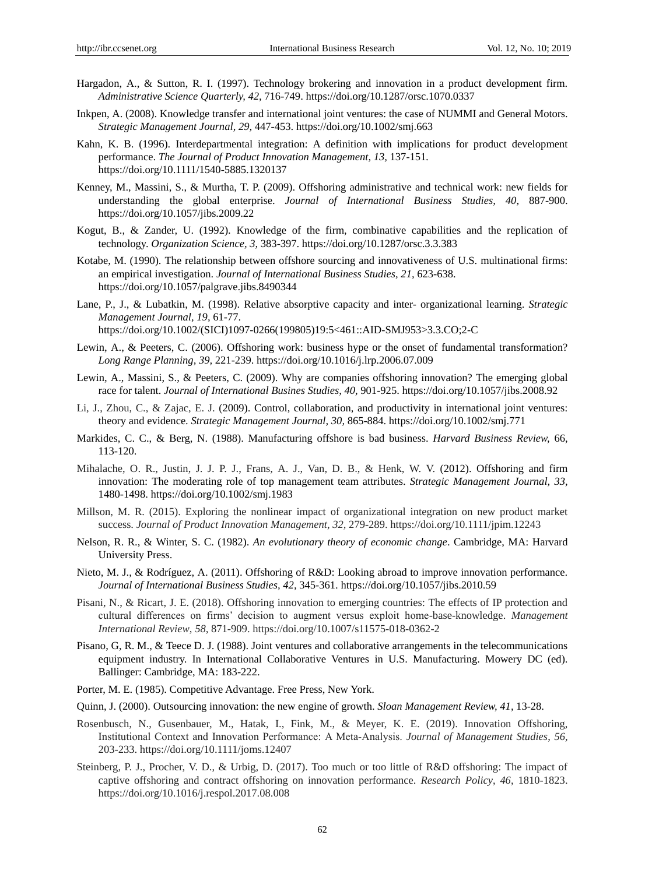- Hargadon, A., & Sutton, R. I. (1997). Technology brokering and innovation in a product development firm. *Administrative Science Quarterly, 42,* 716-749. https://doi.org/10.1287/orsc.1070.0337
- Inkpen, A. (2008). Knowledge transfer and international joint ventures: the case of NUMMI and General Motors. *Strategic Management Journal, 29,* 447-453. https://doi.org/10.1002/smj.663
- Kahn, K. B. (1996). Interdepartmental integration: A definition with implications for product development performance. *The Journal of Product Innovation Management, 13,* 137-151*.* https://doi.org/10.1111/1540-5885.1320137
- Kenney, M., Massini, S., & Murtha, T. P. (2009). Offshoring administrative and technical work: new fields for understanding the global enterprise. *Journal of International Business Studies, 40,* 887-900. https://doi.org/10.1057/jibs.2009.22
- Kogut, B., & Zander, U. (1992). Knowledge of the firm, combinative capabilities and the replication of technology. *Organization Science, 3,* 383-397. https://doi.org/10.1287/orsc.3.3.383
- Kotabe, M. (1990). The relationship between offshore sourcing and innovativeness of U.S. multinational firms: an empirical investigation. *Journal of International Business Studies, 21,* 623-638. https://doi.org/10.1057/palgrave.jibs.8490344
- Lane, P., J., & Lubatkin, M. (1998). Relative absorptive capacity and inter- organizational learning. *Strategic Management Journal, 19,* 61-77. https://doi.org/10.1002/(SICI)1097-0266(199805)19:5<461::AID-SMJ953>3.3.CO;2-C
- Lewin, A., & Peeters, C. (2006). Offshoring work: business hype or the onset of fundamental transformation? *Long Range Planning, 39,* 221-239. https://doi.org/10.1016/j.lrp.2006.07.009
- Lewin, A., Massini, S., & Peeters, C. (2009). Why are companies offshoring innovation? The emerging global race for talent. *Journal of International Busines Studies, 40,* 901-925. https://doi.org/10.1057/jibs.2008.92
- Li, J., Zhou, C., & Zajac, E. J. (2009). Control, collaboration, and productivity in international joint ventures: theory and evidence. *Strategic Management Journal, 30,* 865-884. https://doi.org/10.1002/smj.771
- Markides, C. C., & Berg, N. (1988). Manufacturing offshore is bad business. *Harvard Business Review,* 66, 113-120.
- Mihalache, O. R., Justin, J. J. P. J., Frans, A. J., Van, D. B., & Henk, W. V. (2012). Offshoring and firm innovation: The moderating role of top management team attributes. *Strategic Management Journal, 33,* 1480-1498. https://doi.org/10.1002/smj.1983
- Millson, M. R. (2015). Exploring the nonlinear impact of organizational integration on new product market success. *Journal of Product Innovation Management*, *32,* 279-289. https://doi.org/10.1111/jpim.12243
- Nelson, R. R., & Winter, S. C. (1982). *An evolutionary theory of economic change*. Cambridge, MA: Harvard University Press.
- Nieto, M. J., & Rodr guez, A. (2011). Offshoring of R&D: Looking abroad to improve innovation performance. *Journal of International Business Studies, 42,* 345-361. https://doi.org/10.1057/jibs.2010.59
- Pisani, N., & Ricart, J. E. (2018). Offshoring innovation to emerging countries: The effects of IP protection and cultural differences on firms' decision to augment versus exploit home-base-knowledge. *Management International Review*, *58,* 871-909. https://doi.org/10.1007/s11575-018-0362-2
- Pisano, G, R. M., & Teece D. J. (1988). Joint ventures and collaborative arrangements in the telecommunications equipment industry. In International Collaborative Ventures in U.S. Manufacturing. Mowery DC (ed). Ballinger: Cambridge, MA: 183-222.
- Porter, M. E. (1985). Competitive Advantage. Free Press, New York.
- Quinn, J. (2000). Outsourcing innovation: the new engine of growth. *Sloan Management Review, 41,* 13-28.
- Rosenbusch, N., Gusenbauer, M., Hatak, I., Fink, M., & Meyer, K. E. (2019). Innovation Offshoring, Institutional Context and Innovation Performance: A Meta‐Analysis. *Journal of Management Studies*, *56,*  203-233. https://doi.org/10.1111/joms.12407
- Steinberg, P. J., Procher, V. D., & Urbig, D. (2017). Too much or too little of R&D offshoring: The impact of captive offshoring and contract offshoring on innovation performance. *Research Policy*, *46*, 1810-1823. https://doi.org/10.1016/j.respol.2017.08.008